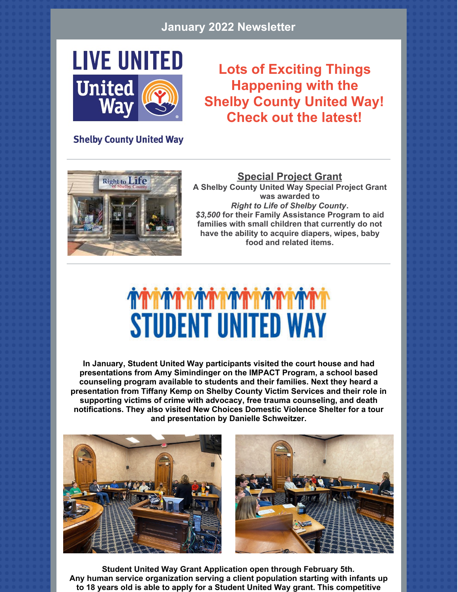#### **January 2022 Newsletter**



#### **Lots of Exciting Things Happening with the Shelby County United Way! Check out the latest!**

**Shelby County United Way** 



**Special Project Grant A Shelby County United Way Special Project Grant was awarded to** *Right to Life of Shelby County***.** *\$3,500* **for their Family Assistance Program to aid families with small children that currently do not have the ability to acquire diapers, wipes, baby food and related items.**

## **STUDENT UNITED WAY**

**In January, Student United Way participants visited the court house and had presentations from Amy Simindinger on the IMPACT Program, a school based counseling program available to students and their families. Next they heard a presentation from Tiffany Kemp on Shelby County Victim Services and their role in supporting victims of crime with advocacy, free trauma counseling, and death notifications. They also visited New Choices Domestic Violence Shelter for a tour and presentation by Danielle Schweitzer.**



**Student United Way Grant Application open through February 5th. Any human service organization serving a client population starting with infants up to 18 years old is able to apply for a Student United Way grant. This competitive**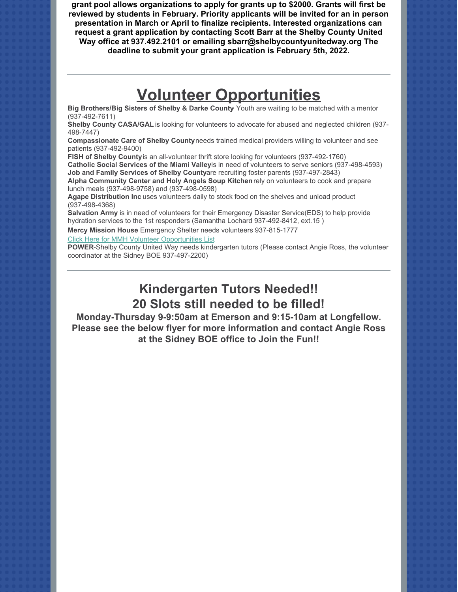**grant pool allows organizations to apply for grants up to \$2000. Grants will first be reviewed by students in February. Priority applicants will be invited for an in person presentation in March or April to finalize recipients. Interested organizations can request a grant application by contacting Scott Barr at the Shelby County United Way office at 937.492.2101 or emailing sbarr@shelbycountyunitedway.org The deadline to submit your grant application is February 5th, 2022.**

#### **Volunteer Opportunities**

**Big Brothers/Big Sisters of Shelby & Darke County**- Youth are waiting to be matched with a mentor (937-492-7611)

**Shelby County CASA/GAL** is looking for volunteers to advocate for abused and neglected children (937- 498-7447)

**Compassionate Care of Shelby County** needs trained medical providers willing to volunteer and see patients (937-492-9400)

**FISH of Shelby County** is an all-volunteer thrift store looking for volunteers (937-492-1760)

Catholic Social Services of the Miami Valleyis in need of volunteers to serve seniors (937-498-4593) **Job and Family Services of Shelby Countyare recruiting foster parents (937-497-2843)** 

**Alpha Community Center and Holy Angels Soup Kitchen** rely on volunteers to cook and prepare lunch meals (937-498-9758) and (937-498-0598)

**Agape Distribution Inc** uses volunteers daily to stock food on the shelves and unload product (937-498-4368)

**Salvation Army** is in need of volunteers for their Emergency Disaster Service(EDS) to help provide hydration services to the 1st responders (Samantha Lochard 937-492-8412, ext.15 )

**Mercy Mission House** Emergency Shelter needs volunteers 937-815-1777

[Click Here for MMH Volunteer Opportunities List](https://files.constantcontact.com/4a814c7e501/6909b815-8633-44d5-b5bb-0be6a369f729.pdf)

**POWER**-Shelby County United Way needs kindergarten tutors (Please contact Angie Ross, the volunteer coordinator at the Sidney BOE 937-497-2200)

#### **Kindergarten Tutors Needed!! 20 Slots still needed to be filled!**

**Monday-Thursday 9-9:50am at Emerson and 9:15-10am at Longfellow. Please see the below flyer for more information and contact Angie Ross at the Sidney BOE office to Join the Fun!!**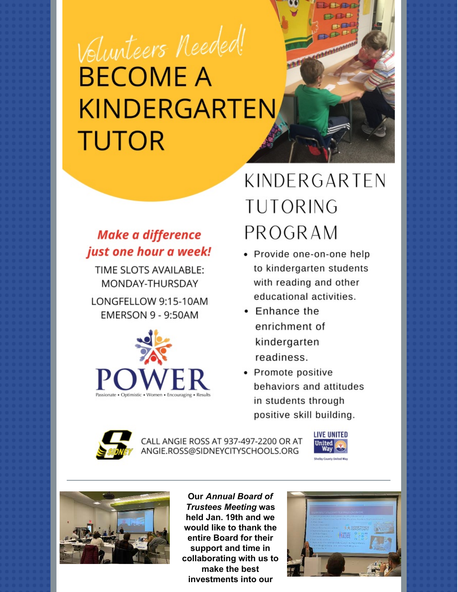# Volunteers Needed! **BECOME A** KINDERGARTEN **TUTOR**

#### **Make a difference** just one hour a week!

TIME SLOTS AVAILABLE: MONDAY-THURSDAY

LONGFELLOW 9:15-10AM **EMERSON 9 - 9:50AM** 



### KINDERGARTEN **TUTORING** PROGRAM

小股市 DOOD DOG

- Provide one-on-one help to kindergarten students with reading and other educational activities.
- Enhance the enrichment of kindergarten readiness.
- Promote positive behaviors and attitudes in students through positive skill building.



CALL ANGIE ROSS AT 937-497-2200 OR AT ANGIE.ROSS@SIDNEYCITYSCHOOLS.ORG





**Our Annual Board of Trustees Meeting was** held Jan. 19th and we would like to thank the entire Board for their support and time in collaborating with us to make the best investments into our

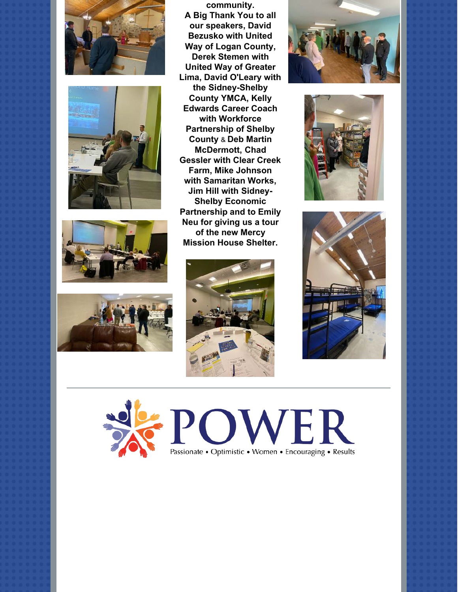







**community. A Big Thank You to all our speakers, David Bezusko with United Way of Logan County, [Derek Stemen](https://www.facebook.com/profile.php?id=100006411015011&__cft__%5B0%5D=AZWEbnsl5ULVO8P3h-RKOXoaG88b7cPyGfgtoNob46DghNFtvD9LDxcYlzIIeG8h9fCx9iNXFH6ItTg19tiSSH4WZIIYM75pkExPGpioTUvbOxUk3xHC-49316C7nP9MgscwDjC1c1gb-FOV5cgsIrNboy4y2UdU9iBfDf8ER9XQV-f1ddMnNksIWbuvKLlIQfw&__tn__=-%5DK-R) with United Way of Greater Lima, David O'Leary with [the Sidney-Shelby](https://www.facebook.com/sidneyymca?__cft__%5B0%5D=AZWEbnsl5ULVO8P3h-RKOXoaG88b7cPyGfgtoNob46DghNFtvD9LDxcYlzIIeG8h9fCx9iNXFH6ItTg19tiSSH4WZIIYM75pkExPGpioTUvbOxUk3xHC-49316C7nP9MgscwDjC1c1gb-FOV5cgsIrNboy4y2UdU9iBfDf8ER9XQV-f1ddMnNksIWbuvKLlIQfw&__tn__=-%5DK-R) County YMCA, Kelly Edwards Career Coach with Workforce [Partnership of Shelby](https://www.facebook.com/WorkforcePartnershipShelbyCounty/?__cft__%5B0%5D=AZWEbnsl5ULVO8P3h-RKOXoaG88b7cPyGfgtoNob46DghNFtvD9LDxcYlzIIeG8h9fCx9iNXFH6ItTg19tiSSH4WZIIYM75pkExPGpioTUvbOxUk3xHC-49316C7nP9MgscwDjC1c1gb-FOV5cgsIrNboy4y2UdU9iBfDf8ER9XQV-f1ddMnNksIWbuvKLlIQfw&__tn__=kK-R) County & Deb Martin McDermott, Chad [Gessler with Clear Cr](https://www.facebook.com/chad.gessler.3?__cft__%5B0%5D=AZWEbnsl5ULVO8P3h-RKOXoaG88b7cPyGfgtoNob46DghNFtvD9LDxcYlzIIeG8h9fCx9iNXFH6ItTg19tiSSH4WZIIYM75pkExPGpioTUvbOxUk3xHC-49316C7nP9MgscwDjC1c1gb-FOV5cgsIrNboy4y2UdU9iBfDf8ER9XQV-f1ddMnNksIWbuvKLlIQfw&__tn__=-%5DK-R)eek Farm, Mike Johnson with Samaritan Works, Jim Hill with Sidney-Shelby Economic [Partnership and to Em](https://www.facebook.com/Sidney-Shelby-Economic-Partnership-1739530686369006/?__cft__%5B0%5D=AZWEbnsl5ULVO8P3h-RKOXoaG88b7cPyGfgtoNob46DghNFtvD9LDxcYlzIIeG8h9fCx9iNXFH6ItTg19tiSSH4WZIIYM75pkExPGpioTUvbOxUk3xHC-49316C7nP9MgscwDjC1c1gb-FOV5cgsIrNboy4y2UdU9iBfDf8ER9XQV-f1ddMnNksIWbuvKLlIQfw&__tn__=kK-R)ily Neu for giving us a tour of the new Mercy [Mission House Shelt](https://www.facebook.com/themercymissionhouse/?__cft__%5B0%5D=AZWEbnsl5ULVO8P3h-RKOXoaG88b7cPyGfgtoNob46DghNFtvD9LDxcYlzIIeG8h9fCx9iNXFH6ItTg19tiSSH4WZIIYM75pkExPGpioTUvbOxUk3xHC-49316C7nP9MgscwDjC1c1gb-FOV5cgsIrNboy4y2UdU9iBfDf8ER9XQV-f1ddMnNksIWbuvKLlIQfw&__tn__=kK-R)er.**